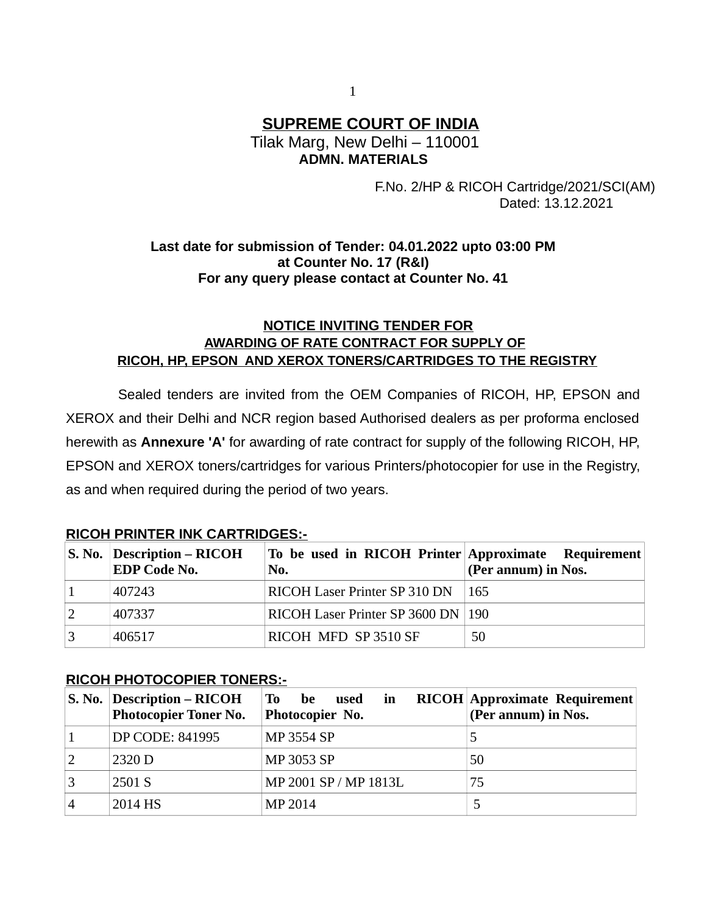# **SUPREME COURT OF INDIA** Tilak Marg, New Delhi – 110001

 **ADMN. MATERIALS**

 F.No. 2/HP & RICOH Cartridge/2021/SCI(AM) Dated: 13.12.2021

## **Last date for submission of Tender: 04.01.2022 upto 03:00 PM at Counter No. 17 (R&I) For any query please contact at Counter No. 41**

## **NOTICE INVITING TENDER FOR AWARDING OF RATE CONTRACT FOR SUPPLY OF RICOH, HP, EPSON AND XEROX TONERS/CARTRIDGES TO THE REGISTRY**

Sealed tenders are invited from the OEM Companies of RICOH, HP, EPSON and XEROX and their Delhi and NCR region based Authorised dealers as per proforma enclosed herewith as **Annexure 'A'** for awarding of rate contract for supply of the following RICOH, HP, EPSON and XEROX toners/cartridges for various Printers/photocopier for use in the Registry, as and when required during the period of two years.

| $\vert$ S. No. Description – RICOH<br><b>EDP Code No.</b> | To be used in RICOH Printer Approximate Requirement<br>No. | (Per annum) in Nos. |
|-----------------------------------------------------------|------------------------------------------------------------|---------------------|
| 407243                                                    | RICOH Laser Printer SP 310 DN 165                          |                     |
| 407337                                                    | RICOH Laser Printer SP 3600 DN   190                       |                     |
| 406517                                                    | RICOH MFD SP 3510 SF                                       | 50                  |

## **RICOH PRINTER INK CARTRIDGES:-**

### **RICOH PHOTOCOPIER TONERS:-**

| S. No. Description – RICOH<br><b>Photocopier Toner No.</b> | To be used<br>in<br>Photocopier No. | <b>RICOH Approximate Requirement</b><br>(Per annum) in Nos. |
|------------------------------------------------------------|-------------------------------------|-------------------------------------------------------------|
| DP CODE: 841995                                            | <b>MP 3554 SP</b>                   |                                                             |
| 2320 D                                                     | <b>MP 3053 SP</b>                   | 50                                                          |
| 2501 S                                                     | MP 2001 SP / MP 1813L               | 75                                                          |
| 2014 HS                                                    | MP 2014                             |                                                             |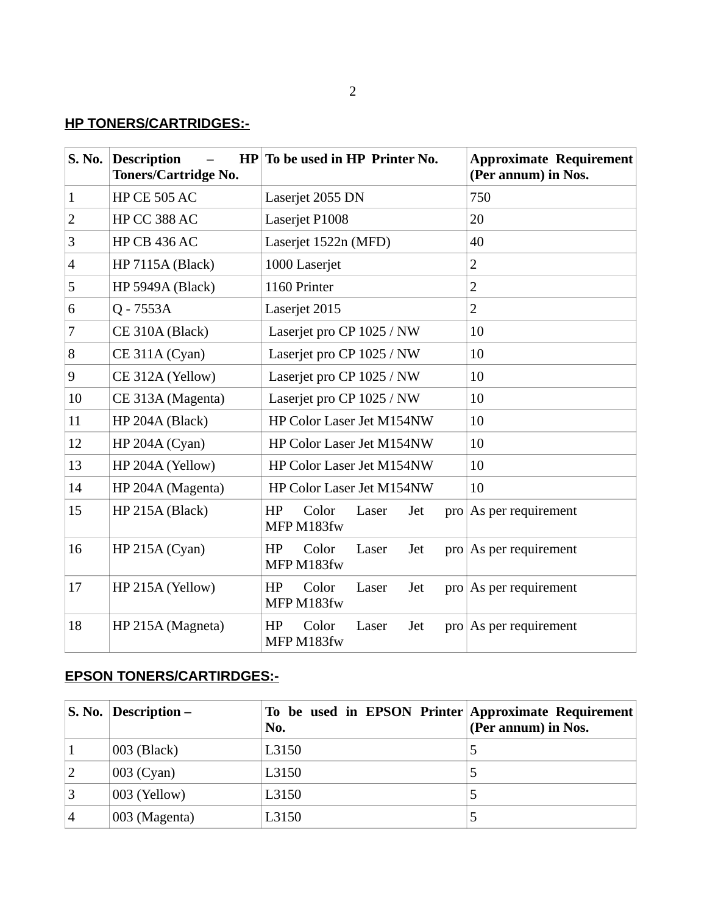## **HP TONERS/CARTRIDGES:-**

| <b>S. No.</b>  | <b>Description</b><br><b>Toners/Cartridge No.</b> | HP To be used in HP Printer No.                  | <b>Approximate Requirement</b><br>(Per annum) in Nos. |
|----------------|---------------------------------------------------|--------------------------------------------------|-------------------------------------------------------|
| $\mathbf{1}$   | <b>HP CE 505 AC</b>                               | Laserjet 2055 DN                                 | 750                                                   |
| $\overline{2}$ | HP CC 388 AC                                      | Laserjet P1008                                   | 20                                                    |
| 3              | <b>HP CB 436 AC</b>                               | Laserjet 1522n (MFD)                             | 40                                                    |
| 4              | <b>HP 7115A (Black)</b>                           | 1000 Laserjet                                    | 2                                                     |
| 5              | HP 5949A (Black)                                  | 1160 Printer                                     | $\overline{2}$                                        |
| 6              | Q - 7553A                                         | Laserjet 2015                                    | $\overline{2}$                                        |
| 7              | CE 310A (Black)                                   | Laserjet pro CP 1025 / NW                        | 10                                                    |
| 8              | CE 311A (Cyan)                                    | Laserjet pro CP 1025 / NW                        | 10                                                    |
| 9              | CE 312A (Yellow)                                  | Laserjet pro CP 1025 / NW                        | 10                                                    |
| 10             | CE 313A (Magenta)                                 | Laserjet pro CP 1025 / NW                        | 10                                                    |
| 11             | HP 204A (Black)                                   | HP Color Laser Jet M154NW                        | 10                                                    |
| 12             | HP 204A (Cyan)                                    | HP Color Laser Jet M154NW                        | 10                                                    |
| 13             | HP 204A (Yellow)                                  | HP Color Laser Jet M154NW                        | 10                                                    |
| 14             | HP 204A (Magenta)                                 | HP Color Laser Jet M154NW                        | 10                                                    |
| 15             | HP 215A (Black)                                   | HP<br>Color<br>Laser<br>Jet<br>MFP M183fw        | pro As per requirement                                |
| 16             | HP 215A (Cyan)                                    | HP<br>Color<br>Laser<br>Jet<br>MFP M183fw        | pro As per requirement                                |
| 17             | HP 215A (Yellow)                                  | Color<br>HP<br>Laser<br>Jet<br>MFP M183fw        | $\frac{1}{2}$ pro   As per requirement                |
| 18             | HP 215A (Magneta)                                 | HP<br>Color<br>Laser<br>Jet<br>pro<br>MFP M183fw | As per requirement                                    |

## **EPSON TONERS/CARTIRDGES:-**

|                | $\vert$ S. No. $\vert$ Description – | To be used in EPSON Printer Approximate Requirement<br>No. | (Per annum) in Nos. |
|----------------|--------------------------------------|------------------------------------------------------------|---------------------|
|                | 003 (Black)                          | L3150                                                      |                     |
| 2              | 003 (Cyan)                           | L3150                                                      |                     |
| 3              | 003 (Yellow)                         | L3150                                                      |                     |
| $\overline{4}$ | 003 (Magenta)                        | L3150                                                      |                     |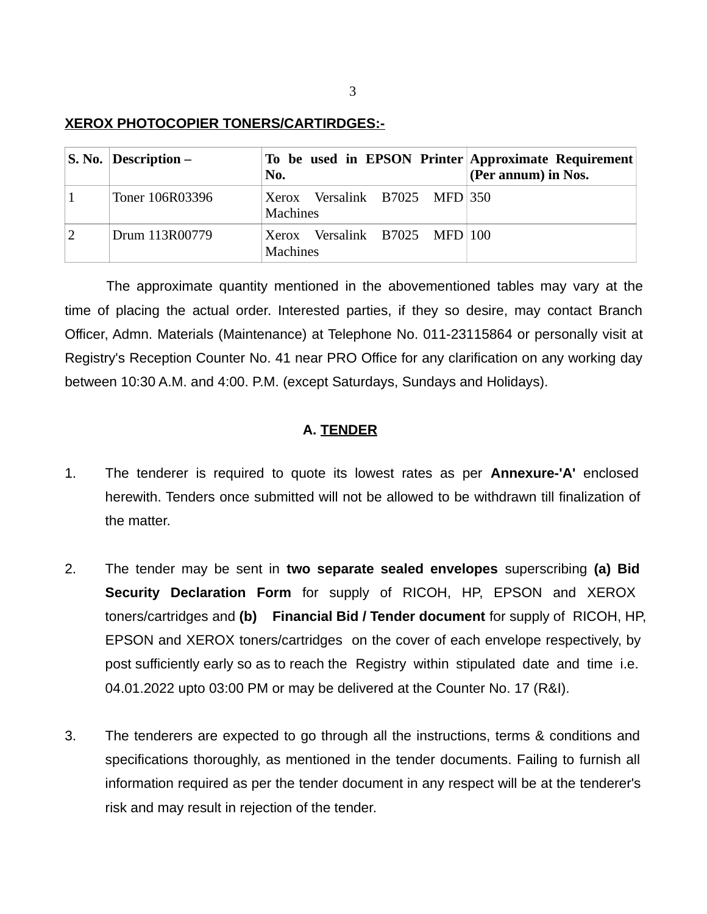### **XEROX PHOTOCOPIER TONERS/CARTIRDGES:-**

| S. No. Description $-$ | To be used in EPSON Printer Approximate Requirement<br>No. | (Per annum) in Nos. |
|------------------------|------------------------------------------------------------|---------------------|
| Toner 106R03396        | Xerox Versalink B7025 MFD 350<br><b>Machines</b>           |                     |
| Drum 113R00779         | Xerox Versalink B7025 MFD 100<br>Machines                  |                     |

The approximate quantity mentioned in the abovementioned tables may vary at the time of placing the actual order. Interested parties, if they so desire, may contact Branch Officer, Admn. Materials (Maintenance) at Telephone No. 011-23115864 or personally visit at Registry's Reception Counter No. 41 near PRO Office for any clarification on any working day between 10:30 A.M. and 4:00. P.M. (except Saturdays, Sundays and Holidays).

### **A. TENDER**

- 1. The tenderer is required to quote its lowest rates as per **Annexure-'A'** enclosed herewith. Tenders once submitted will not be allowed to be withdrawn till finalization of the matter.
- 2. The tender may be sent in **two separate sealed envelopes** superscribing **(a) Bid Security Declaration Form** for supply of RICOH, HP, EPSON and XEROX toners/cartridges and **(b) Financial Bid / Tender document** for supply of RICOH, HP, EPSON and XEROX toners/cartridges on the cover of each envelope respectively, by post sufficiently early so as to reach the Registry within stipulated date and time i.e. 04.01.2022 upto 03:00 PM or may be delivered at the Counter No. 17 (R&I).
- 3. The tenderers are expected to go through all the instructions, terms & conditions and specifications thoroughly, as mentioned in the tender documents. Failing to furnish all information required as per the tender document in any respect will be at the tenderer's risk and may result in rejection of the tender.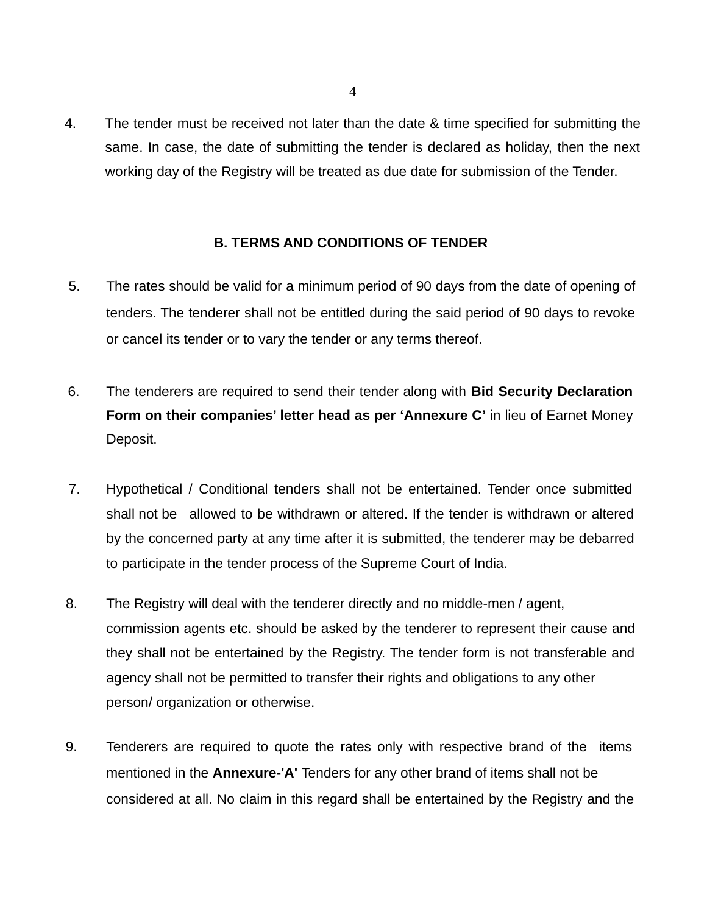4. The tender must be received not later than the date & time specified for submitting the same. In case, the date of submitting the tender is declared as holiday, then the next working day of the Registry will be treated as due date for submission of the Tender.

### **B. TERMS AND CONDITIONS OF TENDER**

- 5. The rates should be valid for a minimum period of 90 days from the date of opening of tenders. The tenderer shall not be entitled during the said period of 90 days to revoke or cancel its tender or to vary the tender or any terms thereof.
- 6. The tenderers are required to send their tender along with **Bid Security Declaration Form on their companies' letter head as per 'Annexure C'** in lieu of Earnet Money Deposit.
- 7. Hypothetical / Conditional tenders shall not be entertained. Tender once submitted shall not be allowed to be withdrawn or altered. If the tender is withdrawn or altered by the concerned party at any time after it is submitted, the tenderer may be debarred to participate in the tender process of the Supreme Court of India.
- 8. The Registry will deal with the tenderer directly and no middle-men / agent, commission agents etc. should be asked by the tenderer to represent their cause and they shall not be entertained by the Registry. The tender form is not transferable and agency shall not be permitted to transfer their rights and obligations to any other person/ organization or otherwise.
- 9. Tenderers are required to quote the rates only with respective brand of the items mentioned in the **Annexure-'A'** Tenders for any other brand of items shall not be considered at all. No claim in this regard shall be entertained by the Registry and the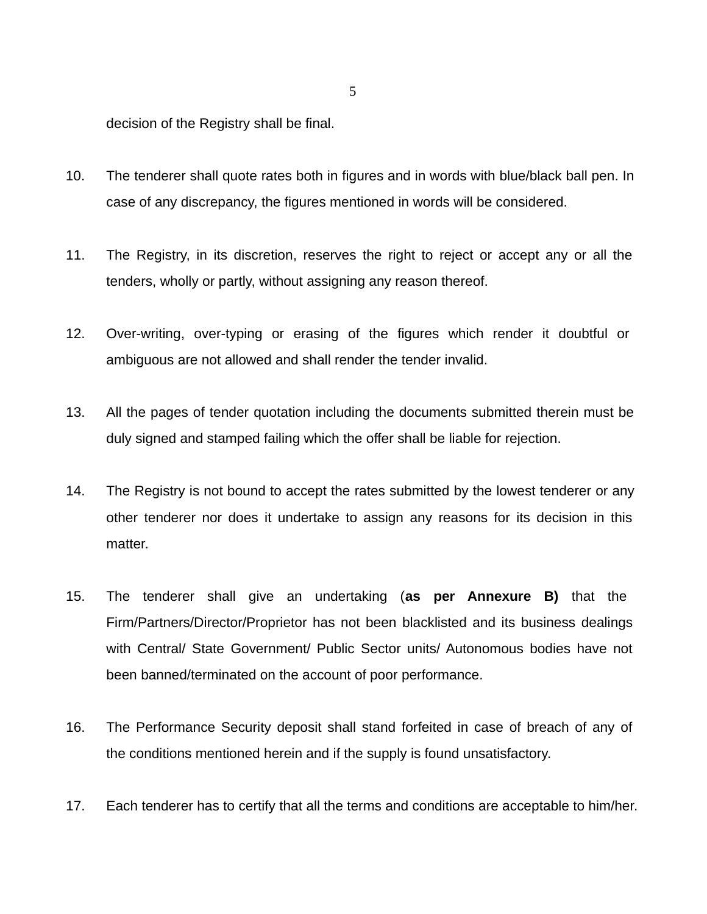decision of the Registry shall be final.

- 10. The tenderer shall quote rates both in figures and in words with blue/black ball pen. In case of any discrepancy, the figures mentioned in words will be considered.
- 11. The Registry, in its discretion, reserves the right to reject or accept any or all the tenders, wholly or partly, without assigning any reason thereof.
- 12. Over-writing, over-typing or erasing of the figures which render it doubtful or ambiguous are not allowed and shall render the tender invalid.
- 13. All the pages of tender quotation including the documents submitted therein must be duly signed and stamped failing which the offer shall be liable for rejection.
- 14. The Registry is not bound to accept the rates submitted by the lowest tenderer or any other tenderer nor does it undertake to assign any reasons for its decision in this matter.
- 15. The tenderer shall give an undertaking (**as per Annexure B)** that the Firm/Partners/Director/Proprietor has not been blacklisted and its business dealings with Central/ State Government/ Public Sector units/ Autonomous bodies have not been banned/terminated on the account of poor performance.
- 16. The Performance Security deposit shall stand forfeited in case of breach of any of the conditions mentioned herein and if the supply is found unsatisfactory.
- 17. Each tenderer has to certify that all the terms and conditions are acceptable to him/her.

5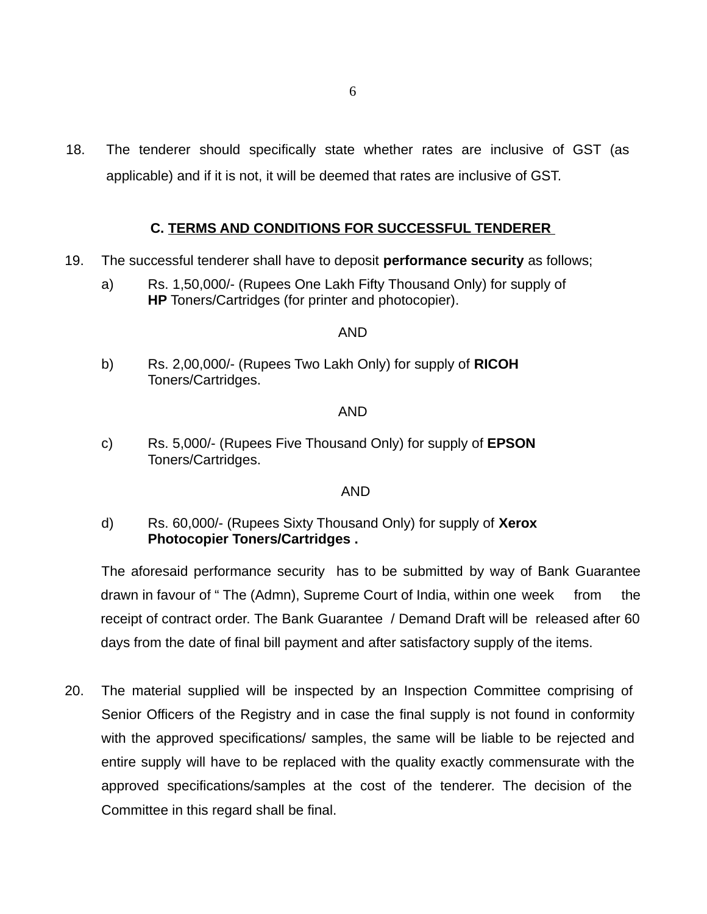18. The tenderer should specifically state whether rates are inclusive of GST (as applicable) and if it is not, it will be deemed that rates are inclusive of GST.

## **C. TERMS AND CONDITIONS FOR SUCCESSFUL TENDERER**

- 19. The successful tenderer shall have to deposit **performance security** as follows;
	- a) Rs. 1,50,000/- (Rupees One Lakh Fifty Thousand Only) for supply of **HP** Toners/Cartridges (for printer and photocopier).

### AND

b) Rs. 2,00,000/- (Rupees Two Lakh Only) for supply of **RICOH**  Toners/Cartridges.

### AND

c) Rs. 5,000/- (Rupees Five Thousand Only) for supply of **EPSON**  Toners/Cartridges.

### AND

d) Rs. 60,000/- (Rupees Sixty Thousand Only) for supply of **Xerox Photocopier Toners/Cartridges .**

The aforesaid performance security has to be submitted by way of Bank Guarantee drawn in favour of "The (Admn), Supreme Court of India, within one week from the receipt of contract order. The Bank Guarantee / Demand Draft will be released after 60 days from the date of final bill payment and after satisfactory supply of the items.

20. The material supplied will be inspected by an Inspection Committee comprising of Senior Officers of the Registry and in case the final supply is not found in conformity with the approved specifications/ samples, the same will be liable to be rejected and entire supply will have to be replaced with the quality exactly commensurate with the approved specifications/samples at the cost of the tenderer. The decision of the Committee in this regard shall be final.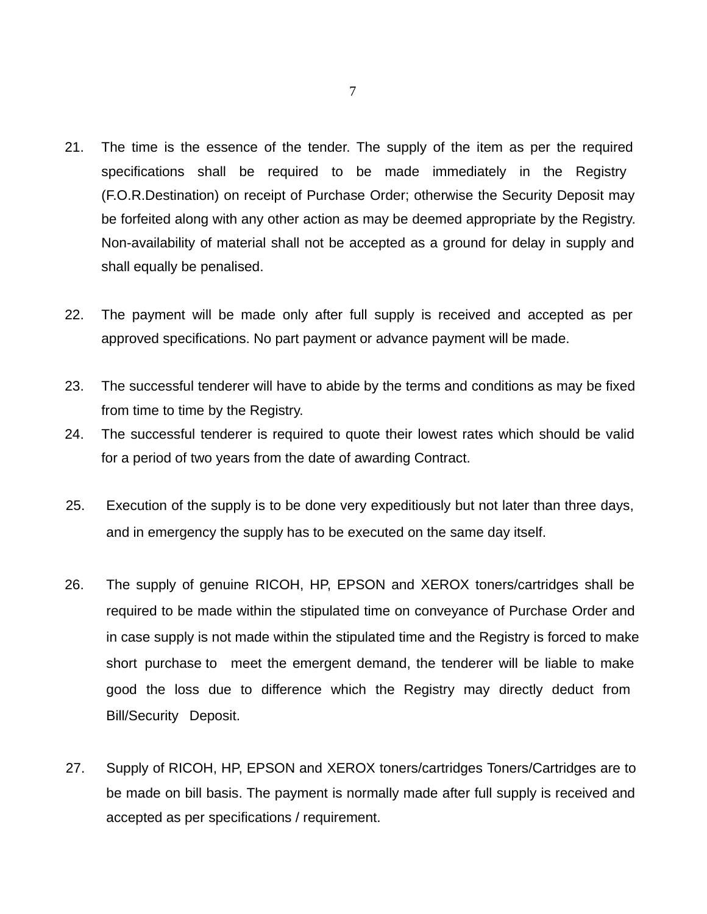- 21. The time is the essence of the tender. The supply of the item as per the required specifications shall be required to be made immediately in the Registry (F.O.R.Destination) on receipt of Purchase Order; otherwise the Security Deposit may be forfeited along with any other action as may be deemed appropriate by the Registry. Non-availability of material shall not be accepted as a ground for delay in supply and shall equally be penalised.
- 22. The payment will be made only after full supply is received and accepted as per approved specifications. No part payment or advance payment will be made.
- 23. The successful tenderer will have to abide by the terms and conditions as may be fixed from time to time by the Registry.
- 24. The successful tenderer is required to quote their lowest rates which should be valid for a period of two years from the date of awarding Contract.
- 25. Execution of the supply is to be done very expeditiously but not later than three days, and in emergency the supply has to be executed on the same day itself.
- 26. The supply of genuine RICOH, HP, EPSON and XEROX toners/cartridges shall be required to be made within the stipulated time on conveyance of Purchase Order and in case supply is not made within the stipulated time and the Registry is forced to make short purchase to meet the emergent demand, the tenderer will be liable to make good the loss due to difference which the Registry may directly deduct from Bill/Security Deposit.
- 27. Supply of RICOH, HP, EPSON and XEROX toners/cartridges Toners/Cartridges are to be made on bill basis. The payment is normally made after full supply is received and accepted as per specifications / requirement.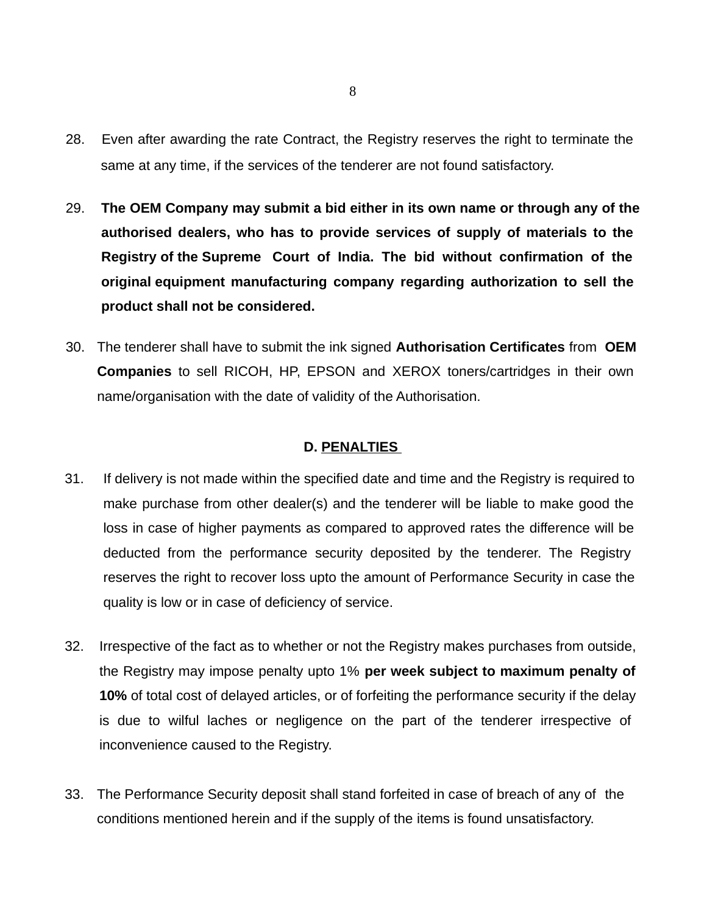- 28. Even after awarding the rate Contract, the Registry reserves the right to terminate the same at any time, if the services of the tenderer are not found satisfactory.
- 29. **The OEM Company may submit a bid either in its own name or through any of the authorised dealers, who has to provide services of supply of materials to the Registry of the Supreme Court of India. The bid without confirmation of the original equipment manufacturing company regarding authorization to sell the product shall not be considered.**
- 30. The tenderer shall have to submit the ink signed **Authorisation Certificates** from **OEM Companies** to sell RICOH, HP, EPSON and XEROX toners/cartridges in their own name/organisation with the date of validity of the Authorisation.

### **D. PENALTIES**

- 31. If delivery is not made within the specified date and time and the Registry is required to make purchase from other dealer(s) and the tenderer will be liable to make good the loss in case of higher payments as compared to approved rates the difference will be deducted from the performance security deposited by the tenderer. The Registry reserves the right to recover loss upto the amount of Performance Security in case the quality is low or in case of deficiency of service.
- 32. Irrespective of the fact as to whether or not the Registry makes purchases from outside, the Registry may impose penalty upto 1% **per week subject to maximum penalty of 10%** of total cost of delayed articles, or of forfeiting the performance security if the delay is due to wilful laches or negligence on the part of the tenderer irrespective of inconvenience caused to the Registry.
- 33. The Performance Security deposit shall stand forfeited in case of breach of any of the conditions mentioned herein and if the supply of the items is found unsatisfactory.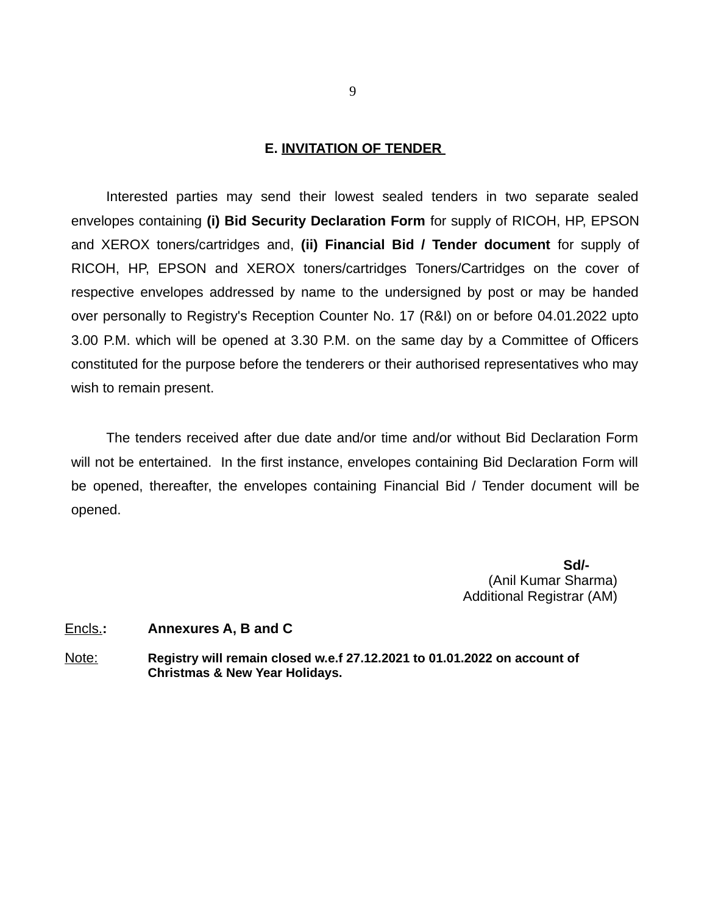#### **E. INVITATION OF TENDER**

Interested parties may send their lowest sealed tenders in two separate sealed envelopes containing **(i) Bid Security Declaration Form** for supply of RICOH, HP, EPSON and XEROX toners/cartridges and, **(ii) Financial Bid / Tender document** for supply of RICOH, HP, EPSON and XEROX toners/cartridges Toners/Cartridges on the cover of respective envelopes addressed by name to the undersigned by post or may be handed over personally to Registry's Reception Counter No. 17 (R&I) on or before 04.01.2022 upto 3.00 P.M. which will be opened at 3.30 P.M. on the same day by a Committee of Officers constituted for the purpose before the tenderers or their authorised representatives who may wish to remain present.

The tenders received after due date and/or time and/or without Bid Declaration Form will not be entertained. In the first instance, envelopes containing Bid Declaration Form will be opened, thereafter, the envelopes containing Financial Bid / Tender document will be opened.

 **Sd/-** (Anil Kumar Sharma) Additional Registrar (AM)

#### Encls.**: Annexures A, B and C**

Note: **Registry will remain closed w.e.f 27.12.2021 to 01.01.2022 on account of Christmas & New Year Holidays.**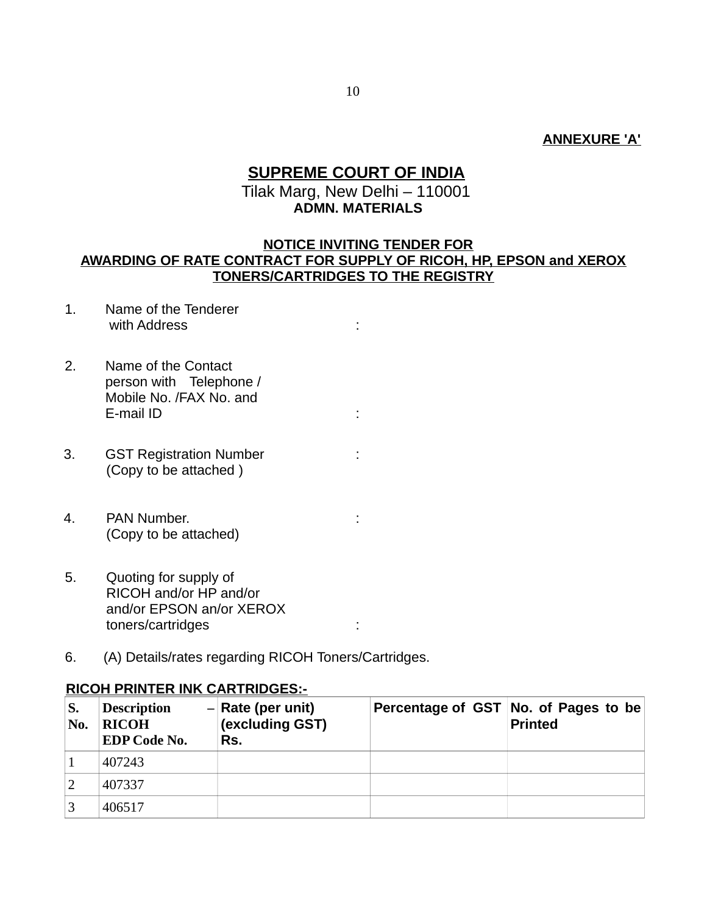### **ANNEXURE 'A'**

## **SUPREME COURT OF INDIA** Tilak Marg, New Delhi – 110001  **ADMN. MATERIALS**

## **NOTICE INVITING TENDER FOR AWARDING OF RATE CONTRACT FOR SUPPLY OF RICOH, HP, EPSON and XEROX TONERS/CARTRIDGES TO THE REGISTRY**

- 1. Name of the Tenderer with Address in the set of the set of the set of the set of the set of the set of the set of the set of the set of the set of the set of the set of the set of the set of the set of the set of the set of the set of the set
- 2. Name of the Contact person with Telephone / Mobile No. /FAX No. and E-mail ID is a set of the set of the set of the set of the set of the set of the set of the set of the set of the set of the set of the set of the set of the set of the set of the set of the set of the set of the set of th
- 3. GST Registration Number : (Copy to be attached )
- 4. PAN Number. : (Copy to be attached)
- 5. Quoting for supply of RICOH and/or HP and/or and/or EPSON an/or XEROX toners/cartridges :
- 6. (A) Details/rates regarding RICOH Toners/Cartridges.

### **RICOH PRINTER INK CARTRIDGES:-**

| S.<br>No. | <b>Description</b><br><b>RICOH</b><br><b>EDP Code No.</b> | $-$ Rate (per unit)<br>(excluding GST)<br>Rs. | Percentage of GST No. of Pages to be<br><b>Printed</b> |
|-----------|-----------------------------------------------------------|-----------------------------------------------|--------------------------------------------------------|
|           | 407243                                                    |                                               |                                                        |
|           | 407337                                                    |                                               |                                                        |
|           | 406517                                                    |                                               |                                                        |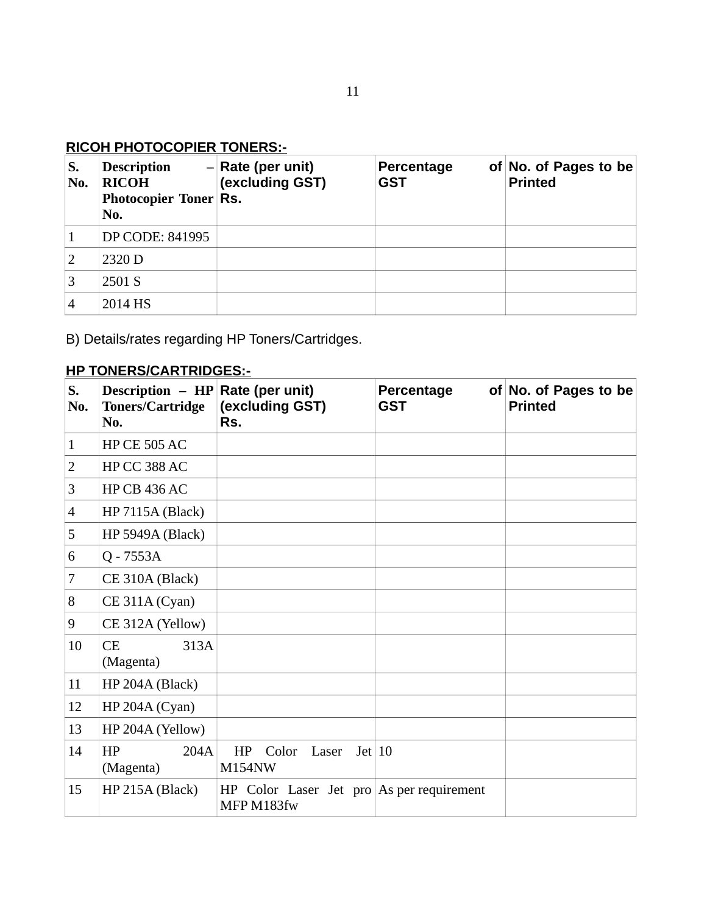## **RICOH PHOTOCOPIER TONERS:-**

| S.<br>No.      | <b>Description</b><br><b>RICOH</b><br><b>Photocopier Toner Rs.</b><br>No. | $-$ Rate (per unit)<br>(excluding GST) | Percentage<br><b>GST</b> | of No. of Pages to be<br><b>Printed</b> |
|----------------|---------------------------------------------------------------------------|----------------------------------------|--------------------------|-----------------------------------------|
| 1              | DP CODE: 841995                                                           |                                        |                          |                                         |
| 2              | 2320 D                                                                    |                                        |                          |                                         |
| 3              | 2501 S                                                                    |                                        |                          |                                         |
| $\overline{4}$ | 2014 HS                                                                   |                                        |                          |                                         |

B) Details/rates regarding HP Toners/Cartridges.

## **HP TONERS/CARTRIDGES:-**

| S.<br>No.      | Description - HP Rate (per unit)<br><b>Toners/Cartridge</b><br>No. | (excluding GST)<br>Rs.                                  | <b>Percentage</b><br><b>GST</b> | of No. of Pages to be<br><b>Printed</b> |
|----------------|--------------------------------------------------------------------|---------------------------------------------------------|---------------------------------|-----------------------------------------|
| $\mathbf{1}$   | <b>HP CE 505 AC</b>                                                |                                                         |                                 |                                         |
| 2              | HP CC 388 AC                                                       |                                                         |                                 |                                         |
| 3              | <b>HP CB 436 AC</b>                                                |                                                         |                                 |                                         |
| $\overline{4}$ | <b>HP 7115A (Black)</b>                                            |                                                         |                                 |                                         |
| 5              | HP 5949A (Black)                                                   |                                                         |                                 |                                         |
| 6              | Q - 7553A                                                          |                                                         |                                 |                                         |
| $\overline{7}$ | CE 310A (Black)                                                    |                                                         |                                 |                                         |
| 8              | CE 311A (Cyan)                                                     |                                                         |                                 |                                         |
| 9              | CE 312A (Yellow)                                                   |                                                         |                                 |                                         |
| 10             | CE<br>313A<br>(Magenta)                                            |                                                         |                                 |                                         |
| 11             | HP 204A (Black)                                                    |                                                         |                                 |                                         |
| 12             | HP 204A (Cyan)                                                     |                                                         |                                 |                                         |
| 13             | HP 204A (Yellow)                                                   |                                                         |                                 |                                         |
| 14             | HP<br>204A<br>(Magenta)                                            | Color<br>Laser Jet 10<br>HP<br><b>M154NW</b>            |                                 |                                         |
| 15             | HP 215A (Black)                                                    | HP Color Laser Jet pro As per requirement<br>MFP M183fw |                                 |                                         |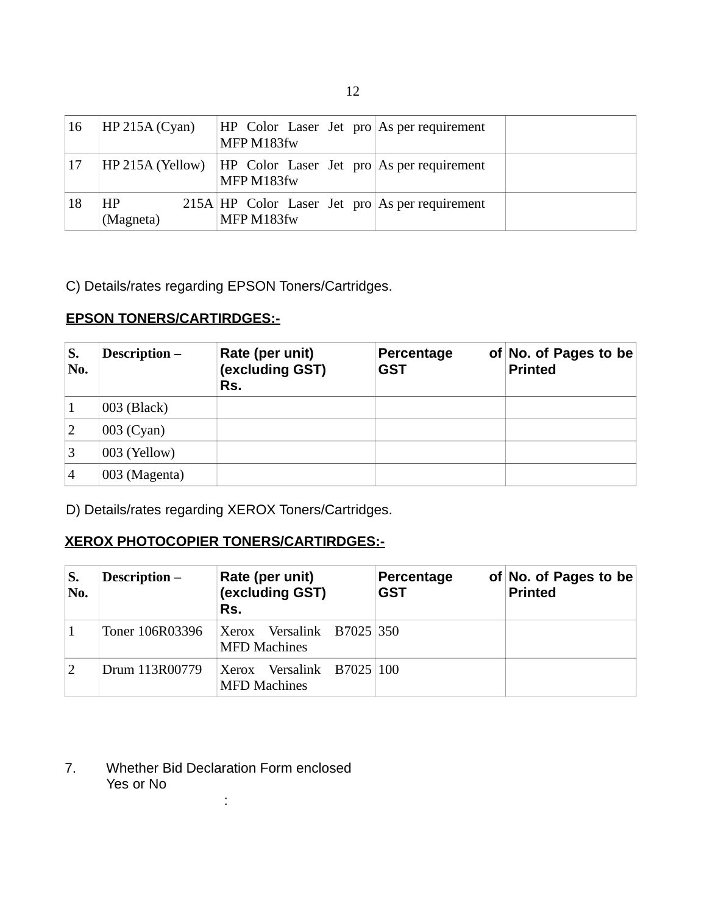| <sup>16</sup> | HP 215A (Cyan)              | $HP$ Color Laser Jet pro As per requirement<br>MFP M183fw                |
|---------------|-----------------------------|--------------------------------------------------------------------------|
| <b>17</b>     |                             | HP 215A (Yellow) HP Color Laser Jet pro As per requirement<br>MFP M183fw |
| 18            | H <sub>P</sub><br>(Magneta) | 215A HP Color Laser Jet pro As per requirement<br>MFP M183fw             |

C) Details/rates regarding EPSON Toners/Cartridges.

## **EPSON TONERS/CARTIRDGES:-**

| S.<br>No.      | <b>Description –</b> | Rate (per unit)<br>(excluding GST)<br>Rs. | Percentage<br><b>GST</b> | of No. of Pages to be<br><b>Printed</b> |
|----------------|----------------------|-------------------------------------------|--------------------------|-----------------------------------------|
|                | $003$ (Black)        |                                           |                          |                                         |
| 2              | 003 (Cyan)           |                                           |                          |                                         |
| 3              | $003$ (Yellow)       |                                           |                          |                                         |
| $\overline{4}$ | 003 (Magenta)        |                                           |                          |                                         |

D) Details/rates regarding XEROX Toners/Cartridges.

## **XEROX PHOTOCOPIER TONERS/CARTIRDGES:-**

| S.<br>No. | <b>Description –</b> | Rate (per unit)<br>(excluding GST)<br>Rs.        | <b>Percentage</b><br><b>GST</b> | of No. of Pages to be<br><b>Printed</b> |
|-----------|----------------------|--------------------------------------------------|---------------------------------|-----------------------------------------|
|           | Toner 106R03396      | Xerox Versalink B7025 350<br><b>MFD</b> Machines |                                 |                                         |
| 2         | Drum 113R00779       | Xerox Versalink B7025 100<br><b>MFD Machines</b> |                                 |                                         |

## 7. Whether Bid Declaration Form enclosed Yes or No :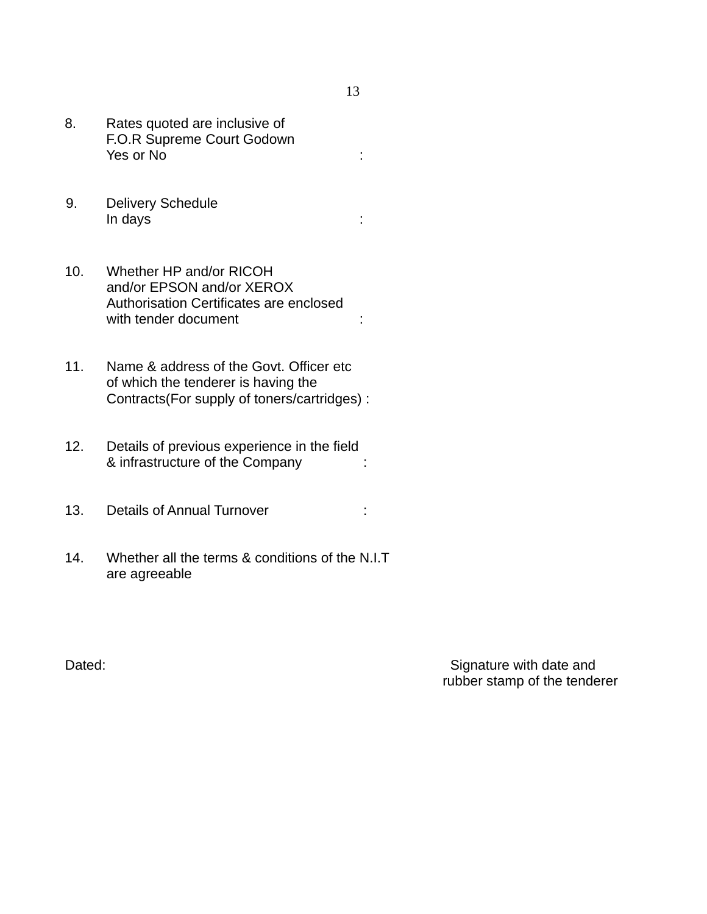- 8. Rates quoted are inclusive of F.O.R Supreme Court Godown Yes or No :
- 9. Delivery Schedule In days :
- 10. Whether HP and/or RICOH and/or EPSON and/or XEROX Authorisation Certificates are enclosed with tender document : the state of the state of the state of the state of the state of the state of the state
- 11. Name & address of the Govt. Officer etc of which the tenderer is having the Contracts(For supply of toners/cartridges) :
- 12. Details of previous experience in the field & infrastructure of the Company :
- 13. Details of Annual Turnover :
- 14. Whether all the terms & conditions of the N.I.T are agreeable

Dated: Dated: Signature with date and rubber stamp of the tenderer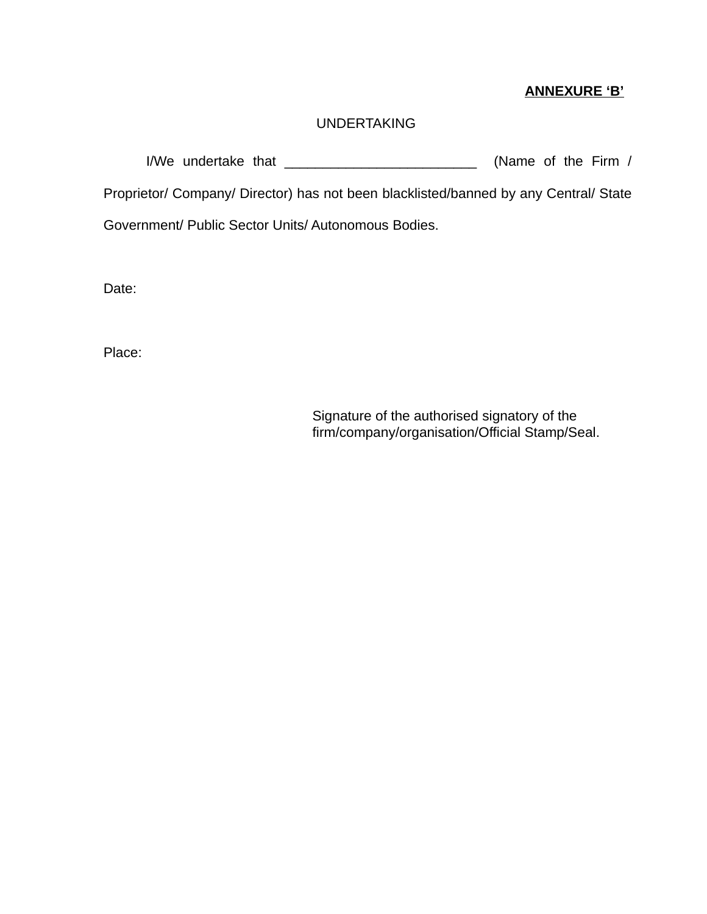## **ANNEXURE 'B'**

## UNDERTAKING

I/We undertake that \_\_\_\_\_\_\_\_\_\_\_\_\_\_\_\_\_\_\_\_\_\_\_\_\_ (Name of the Firm /

Proprietor/ Company/ Director) has not been blacklisted/banned by any Central/ State

Government/ Public Sector Units/ Autonomous Bodies.

Date:

Place:

Signature of the authorised signatory of the firm/company/organisation/Official Stamp/Seal.